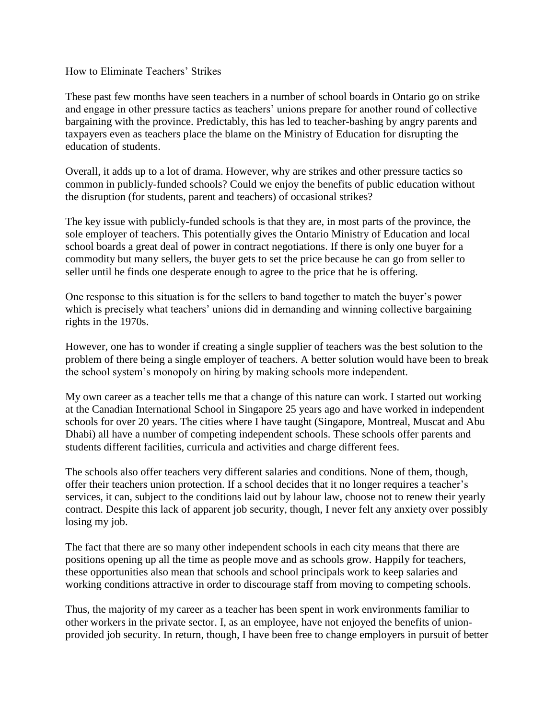How to Eliminate Teachers' Strikes

These past few months have seen teachers in a number of school boards in Ontario go on strike and engage in other pressure tactics as teachers' unions prepare for another round of collective bargaining with the province. Predictably, this has led to teacher-bashing by angry parents and taxpayers even as teachers place the blame on the Ministry of Education for disrupting the education of students.

Overall, it adds up to a lot of drama. However, why are strikes and other pressure tactics so common in publicly-funded schools? Could we enjoy the benefits of public education without the disruption (for students, parent and teachers) of occasional strikes?

The key issue with publicly-funded schools is that they are, in most parts of the province, the sole employer of teachers. This potentially gives the Ontario Ministry of Education and local school boards a great deal of power in contract negotiations. If there is only one buyer for a commodity but many sellers, the buyer gets to set the price because he can go from seller to seller until he finds one desperate enough to agree to the price that he is offering.

One response to this situation is for the sellers to band together to match the buyer's power which is precisely what teachers' unions did in demanding and winning collective bargaining rights in the 1970s.

However, one has to wonder if creating a single supplier of teachers was the best solution to the problem of there being a single employer of teachers. A better solution would have been to break the school system's monopoly on hiring by making schools more independent.

My own career as a teacher tells me that a change of this nature can work. I started out working at the Canadian International School in Singapore 25 years ago and have worked in independent schools for over 20 years. The cities where I have taught (Singapore, Montreal, Muscat and Abu Dhabi) all have a number of competing independent schools. These schools offer parents and students different facilities, curricula and activities and charge different fees.

The schools also offer teachers very different salaries and conditions. None of them, though, offer their teachers union protection. If a school decides that it no longer requires a teacher's services, it can, subject to the conditions laid out by labour law, choose not to renew their yearly contract. Despite this lack of apparent job security, though, I never felt any anxiety over possibly losing my job.

The fact that there are so many other independent schools in each city means that there are positions opening up all the time as people move and as schools grow. Happily for teachers, these opportunities also mean that schools and school principals work to keep salaries and working conditions attractive in order to discourage staff from moving to competing schools.

Thus, the majority of my career as a teacher has been spent in work environments familiar to other workers in the private sector. I, as an employee, have not enjoyed the benefits of unionprovided job security. In return, though, I have been free to change employers in pursuit of better